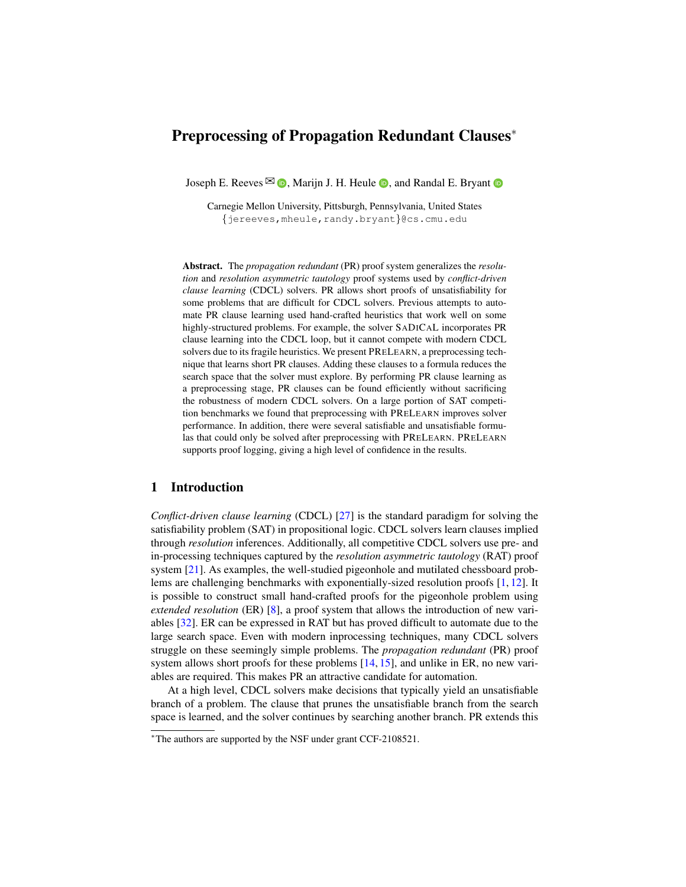# Preprocessing of Propagation Redundant Clauses<sup>∗</sup>

Joseph E. Reeves  $\boxtimes$   $\textcircled{D}$ [,](http://orcid.org/0000-0002-5587-8801) Marijn J. H. Heule  $\textcircled{D}$ , and Randal E. Bryant  $\textcircled{D}$ 

Carnegie Mellon University, Pittsburgh, Pennsylvania, United States {jereeves,mheule,randy.bryant}@cs.cmu.edu

Abstract. The *propagation redundant* (PR) proof system generalizes the *resolution* and *resolution asymmetric tautology* proof systems used by *conflict-driven clause learning* (CDCL) solvers. PR allows short proofs of unsatisfiability for some problems that are difficult for CDCL solvers. Previous attempts to automate PR clause learning used hand-crafted heuristics that work well on some highly-structured problems. For example, the solver SADICAL incorporates PR clause learning into the CDCL loop, but it cannot compete with modern CDCL solvers due to its fragile heuristics. We present PRELEARN, a preprocessing technique that learns short PR clauses. Adding these clauses to a formula reduces the search space that the solver must explore. By performing PR clause learning as a preprocessing stage, PR clauses can be found efficiently without sacrificing the robustness of modern CDCL solvers. On a large portion of SAT competition benchmarks we found that preprocessing with PRELEARN improves solver performance. In addition, there were several satisfiable and unsatisfiable formulas that could only be solved after preprocessing with PRELEARN. PRELEARN supports proof logging, giving a high level of confidence in the results.

### 1 Introduction

*Conflict-driven clause learning* (CDCL) [\[27\]](#page-18-0) is the standard paradigm for solving the satisfiability problem (SAT) in propositional logic. CDCL solvers learn clauses implied through *resolution* inferences. Additionally, all competitive CDCL solvers use pre- and in-processing techniques captured by the *resolution asymmetric tautology* (RAT) proof system [\[21\]](#page-17-0). As examples, the well-studied pigeonhole and mutilated chessboard problems are challenging benchmarks with exponentially-sized resolution proofs [\[1,](#page-17-1) [12\]](#page-17-2). It is possible to construct small hand-crafted proofs for the pigeonhole problem using *extended resolution* (ER) [\[8\]](#page-17-3), a proof system that allows the introduction of new variables [\[32\]](#page-18-1). ER can be expressed in RAT but has proved difficult to automate due to the large search space. Even with modern inprocessing techniques, many CDCL solvers struggle on these seemingly simple problems. The *propagation redundant* (PR) proof system allows short proofs for these problems  $[14, 15]$  $[14, 15]$  $[14, 15]$ , and unlike in ER, no new variables are required. This makes PR an attractive candidate for automation.

At a high level, CDCL solvers make decisions that typically yield an unsatisfiable branch of a problem. The clause that prunes the unsatisfiable branch from the search space is learned, and the solver continues by searching another branch. PR extends this

<sup>∗</sup>The authors are supported by the NSF under grant CCF-2108521.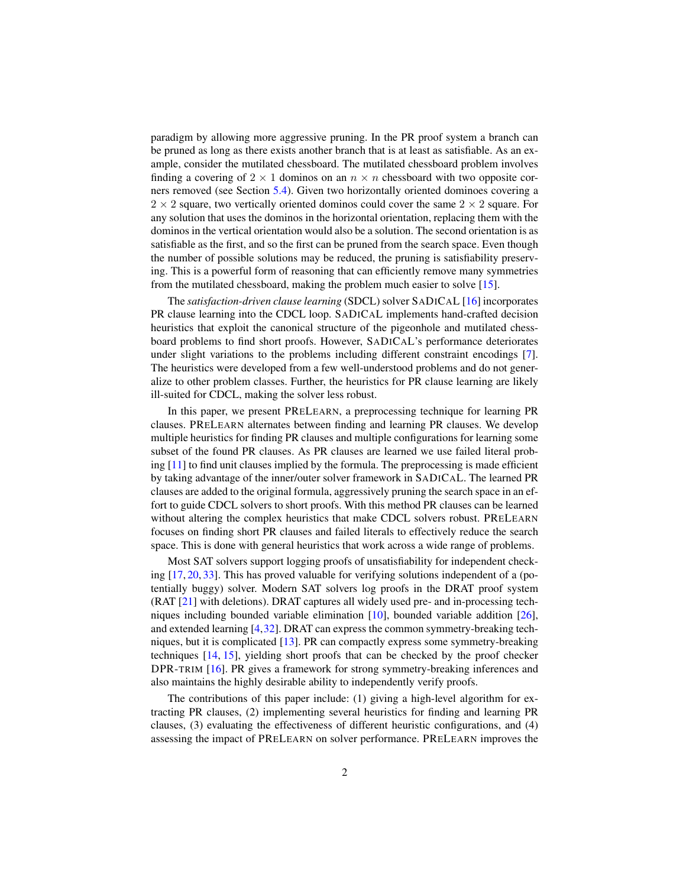paradigm by allowing more aggressive pruning. In the PR proof system a branch can be pruned as long as there exists another branch that is at least as satisfiable. As an example, consider the mutilated chessboard. The mutilated chessboard problem involves finding a covering of  $2 \times 1$  dominos on an  $n \times n$  chessboard with two opposite corners removed (see Section [5.4\)](#page-7-0). Given two horizontally oriented dominoes covering a  $2 \times 2$  square, two vertically oriented dominos could cover the same  $2 \times 2$  square. For any solution that uses the dominos in the horizontal orientation, replacing them with the dominos in the vertical orientation would also be a solution. The second orientation is as satisfiable as the first, and so the first can be pruned from the search space. Even though the number of possible solutions may be reduced, the pruning is satisfiability preserving. This is a powerful form of reasoning that can efficiently remove many symmetries from the mutilated chessboard, making the problem much easier to solve [\[15\]](#page-17-5).

The *satisfaction-driven clause learning* (SDCL) solver SADICAL [\[16\]](#page-17-6) incorporates PR clause learning into the CDCL loop. SADICAL implements hand-crafted decision heuristics that exploit the canonical structure of the pigeonhole and mutilated chessboard problems to find short proofs. However, SADICAL's performance deteriorates under slight variations to the problems including different constraint encodings [\[7\]](#page-17-7). The heuristics were developed from a few well-understood problems and do not generalize to other problem classes. Further, the heuristics for PR clause learning are likely ill-suited for CDCL, making the solver less robust.

In this paper, we present PRELEARN, a preprocessing technique for learning PR clauses. PRELEARN alternates between finding and learning PR clauses. We develop multiple heuristics for finding PR clauses and multiple configurations for learning some subset of the found PR clauses. As PR clauses are learned we use failed literal probing [\[11\]](#page-17-8) to find unit clauses implied by the formula. The preprocessing is made efficient by taking advantage of the inner/outer solver framework in SADICAL. The learned PR clauses are added to the original formula, aggressively pruning the search space in an effort to guide CDCL solvers to short proofs. With this method PR clauses can be learned without altering the complex heuristics that make CDCL solvers robust. PRELEARN focuses on finding short PR clauses and failed literals to effectively reduce the search space. This is done with general heuristics that work across a wide range of problems.

Most SAT solvers support logging proofs of unsatisfiability for independent checking [\[17,](#page-17-9) [20,](#page-17-10) [33\]](#page-18-2). This has proved valuable for verifying solutions independent of a (potentially buggy) solver. Modern SAT solvers log proofs in the DRAT proof system (RAT [\[21\]](#page-17-0) with deletions). DRAT captures all widely used pre- and in-processing techniques including bounded variable elimination [\[10\]](#page-17-11), bounded variable addition [\[26\]](#page-18-3), and extended learning [\[4](#page-17-12)[,32\]](#page-18-1). DRAT can express the common symmetry-breaking techniques, but it is complicated [\[13\]](#page-17-13). PR can compactly express some symmetry-breaking techniques [\[14,](#page-17-4) [15\]](#page-17-5), yielding short proofs that can be checked by the proof checker DPR-TRIM [\[16\]](#page-17-6). PR gives a framework for strong symmetry-breaking inferences and also maintains the highly desirable ability to independently verify proofs.

The contributions of this paper include: (1) giving a high-level algorithm for extracting PR clauses, (2) implementing several heuristics for finding and learning PR clauses, (3) evaluating the effectiveness of different heuristic configurations, and (4) assessing the impact of PRELEARN on solver performance. PRELEARN improves the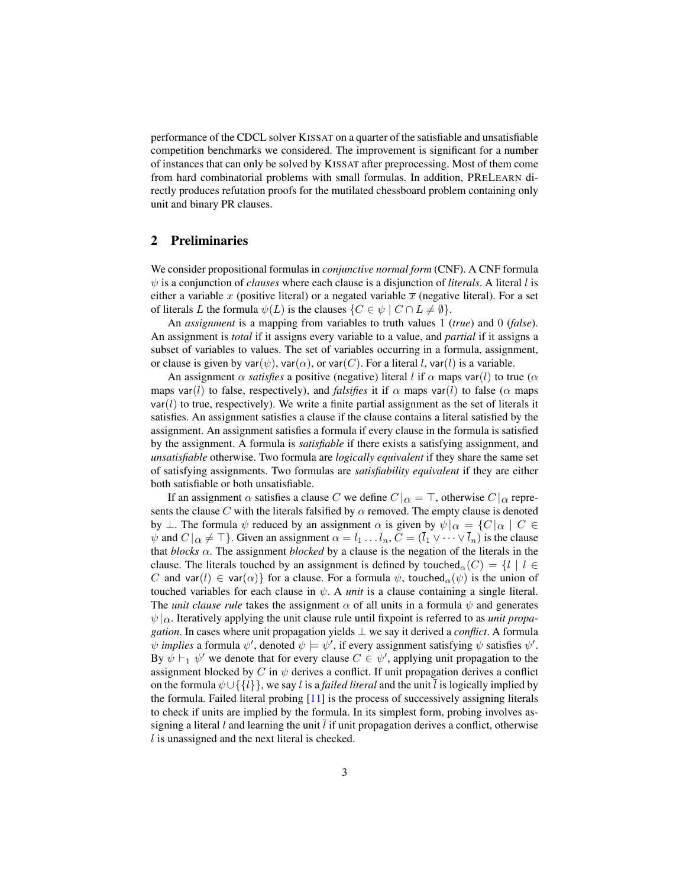performance of the CDCL solver KISSAT on a quarter of the satisfiable and unsatisfiable competition benchmarks we considered. The improvement is significant for a number of instances that can only be solved by KISSAT after preprocessing. Most of them come from hard combinatorial problems with small formulas. In addition, PRELEARN directly produces refutation proofs for the mutilated chessboard problem containing only unit and binary PR clauses.

### 2 Preliminaries

We consider propositional formulas in *conjunctive normal form* (CNF). A CNF formula  $\psi$  is a conjunction of *clauses* where each clause is a disjunction of *literals*. A literal l is either a variable x (positive literal) or a negated variable  $\bar{x}$  (negative literal). For a set of literals L the formula  $\psi(L)$  is the clauses  $\{C \in \psi \mid C \cap L \neq \emptyset\}.$ 

An *assignment* is a mapping from variables to truth values 1 (*true*) and 0 (*false*). An assignment is *total* if it assigns every variable to a value, and *partial* if it assigns a subset of variables to values. The set of variables occurring in a formula, assignment, or clause is given by var( $\psi$ ), var( $\alpha$ ), or var(C). For a literal l, var(l) is a variable.

An assignment  $\alpha$  *satisfies* a positive (negative) literal l if  $\alpha$  maps var(l) to true ( $\alpha$ maps var(l) to false, respectively), and *falsifies* it if  $\alpha$  maps var(l) to false ( $\alpha$  maps  $var(l)$  to true, respectively). We write a finite partial assignment as the set of literals it satisfies. An assignment satisfies a clause if the clause contains a literal satisfied by the assignment. An assignment satisfies a formula if every clause in the formula is satisfied by the assignment. A formula is *satisfiable* if there exists a satisfying assignment, and *unsatisfiable* otherwise. Two formula are *logically equivalent* if they share the same set of satisfying assignments. Two formulas are *satisfiability equivalent* if they are either both satisfiable or both unsatisfiable.

If an assignment  $\alpha$  satisfies a clause C we define  $C|\alpha = \top$ , otherwise  $C|\alpha$  represents the clause C with the literals falsified by  $\alpha$  removed. The empty clause is denoted by  $\perp$ . The formula  $\psi$  reduced by an assignment  $\alpha$  is given by  $\psi|_{\alpha} = \{C | \alpha \mid C \in$  $\psi$  and  $C|\alpha \neq \top$ . Given an assignment  $\alpha = l_1 \dots l_n$ ,  $C = (\bar{l}_1 \vee \dots \vee \bar{l}_n)$  is the clause that *blocks* α. The assignment *blocked* by a clause is the negation of the literals in the clause. The literals touched by an assignment is defined by touched<sub> $\alpha$ </sub> $(C) = \{l \mid l \in$ C and var $(l) \in \text{var}(\alpha)$  for a clause. For a formula  $\psi$ , touched $\alpha(\psi)$  is the union of touched variables for each clause in  $\psi$ . A *unit* is a clause containing a single literal. The *unit clause rule* takes the assignment  $\alpha$  of all units in a formula  $\psi$  and generates  $\psi|_{\alpha}$ . Iteratively applying the unit clause rule until fixpoint is referred to as *unit propagation*. In cases where unit propagation yields  $\perp$  we say it derived a *conflict*. A formula  $\psi$  *implies* a formula  $\psi'$ , denoted  $\psi \models \psi'$ , if every assignment satisfying  $\psi$  satisfies  $\psi'$ . By  $\psi \vdash_1 \psi'$  we denote that for every clause  $C \in \psi'$ , applying unit propagation to the assignment blocked by C in  $\psi$  derives a conflict. If unit propagation derives a conflict on the formula  $\psi \cup \{\{l\}\}\,$ , we say l is a *failed literal* and the unit  $\overline{l}$  is logically implied by the formula. Failed literal probing [\[11\]](#page-17-8) is the process of successively assigning literals to check if units are implied by the formula. In its simplest form, probing involves assigning a literal l and learning the unit  $\overline{l}$  if unit propagation derives a conflict, otherwise  $l$  is unassigned and the next literal is checked.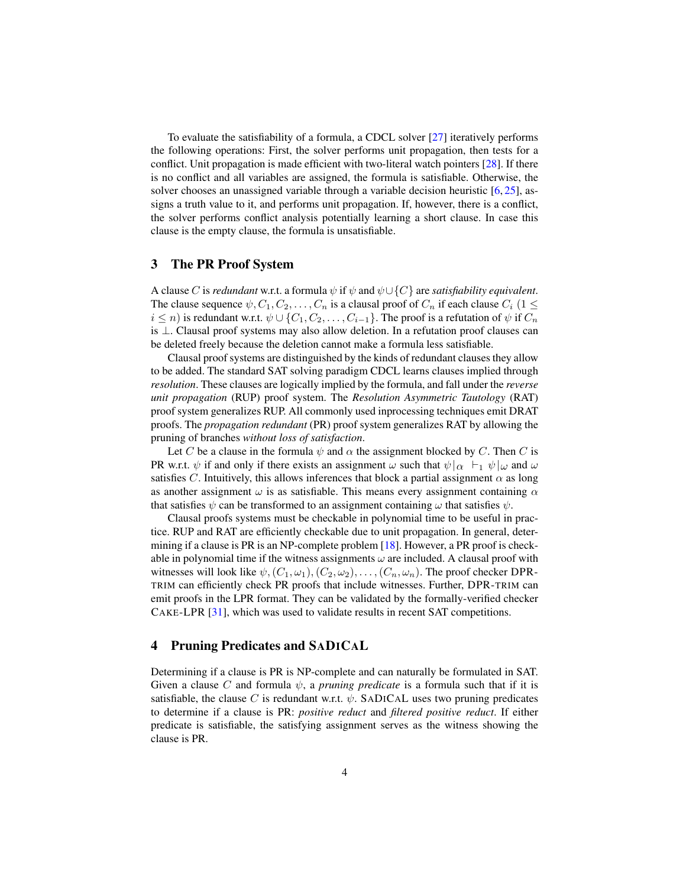To evaluate the satisfiability of a formula, a CDCL solver [\[27\]](#page-18-0) iteratively performs the following operations: First, the solver performs unit propagation, then tests for a conflict. Unit propagation is made efficient with two-literal watch pointers [\[28\]](#page-18-4). If there is no conflict and all variables are assigned, the formula is satisfiable. Otherwise, the solver chooses an unassigned variable through a variable decision heuristic  $[6, 25]$  $[6, 25]$  $[6, 25]$ , assigns a truth value to it, and performs unit propagation. If, however, there is a conflict, the solver performs conflict analysis potentially learning a short clause. In case this clause is the empty clause, the formula is unsatisfiable.

### 3 The PR Proof System

A clause C is *redundant* w.r.t. a formula  $\psi$  if  $\psi$  and  $\psi \cup \{C\}$  are *satisfiability equivalent*. The clause sequence  $\psi, C_1, C_2, \ldots, C_n$  is a clausal proof of  $C_n$  if each clause  $C_i$  (1  $\leq$  $i \leq n$ ) is redundant w.r.t.  $\psi \cup \{C_1, C_2, \ldots, C_{i-1}\}$ . The proof is a refutation of  $\psi$  if  $C_n$ is ⊥. Clausal proof systems may also allow deletion. In a refutation proof clauses can be deleted freely because the deletion cannot make a formula less satisfiable.

Clausal proof systems are distinguished by the kinds of redundant clauses they allow to be added. The standard SAT solving paradigm CDCL learns clauses implied through *resolution*. These clauses are logically implied by the formula, and fall under the *reverse unit propagation* (RUP) proof system. The *Resolution Asymmetric Tautology* (RAT) proof system generalizes RUP. All commonly used inprocessing techniques emit DRAT proofs. The *propagation redundant* (PR) proof system generalizes RAT by allowing the pruning of branches *without loss of satisfaction*.

Let C be a clause in the formula  $\psi$  and  $\alpha$  the assignment blocked by C. Then C is PR w.r.t.  $\psi$  if and only if there exists an assignment  $\omega$  such that  $\psi|_{\alpha \in \mathcal{A}}$   $\psi|_{\omega}$  and  $\omega$ satisfies C. Intuitively, this allows inferences that block a partial assignment  $\alpha$  as long as another assignment  $\omega$  is as satisfiable. This means every assignment containing  $\alpha$ that satisfies  $\psi$  can be transformed to an assignment containing  $\omega$  that satisfies  $\psi$ .

Clausal proofs systems must be checkable in polynomial time to be useful in practice. RUP and RAT are efficiently checkable due to unit propagation. In general, determining if a clause is PR is an NP-complete problem  $[18]$ . However, a PR proof is checkable in polynomial time if the witness assignments  $\omega$  are included. A clausal proof with witnesses will look like  $\psi$ ,  $(C_1, \omega_1)$ ,  $(C_2, \omega_2)$ , ...,  $(C_n, \omega_n)$ . The proof checker DPR-TRIM can efficiently check PR proofs that include witnesses. Further, DPR-TRIM can emit proofs in the LPR format. They can be validated by the formally-verified checker CAKE-LPR [\[31\]](#page-18-6), which was used to validate results in recent SAT competitions.

## 4 Pruning Predicates and SADICAL

Determining if a clause is PR is NP-complete and can naturally be formulated in SAT. Given a clause C and formula  $\psi$ , a *pruning predicate* is a formula such that if it is satisfiable, the clause C is redundant w.r.t.  $\psi$ . SADICAL uses two pruning predicates to determine if a clause is PR: *positive reduct* and *filtered positive reduct*. If either predicate is satisfiable, the satisfying assignment serves as the witness showing the clause is PR.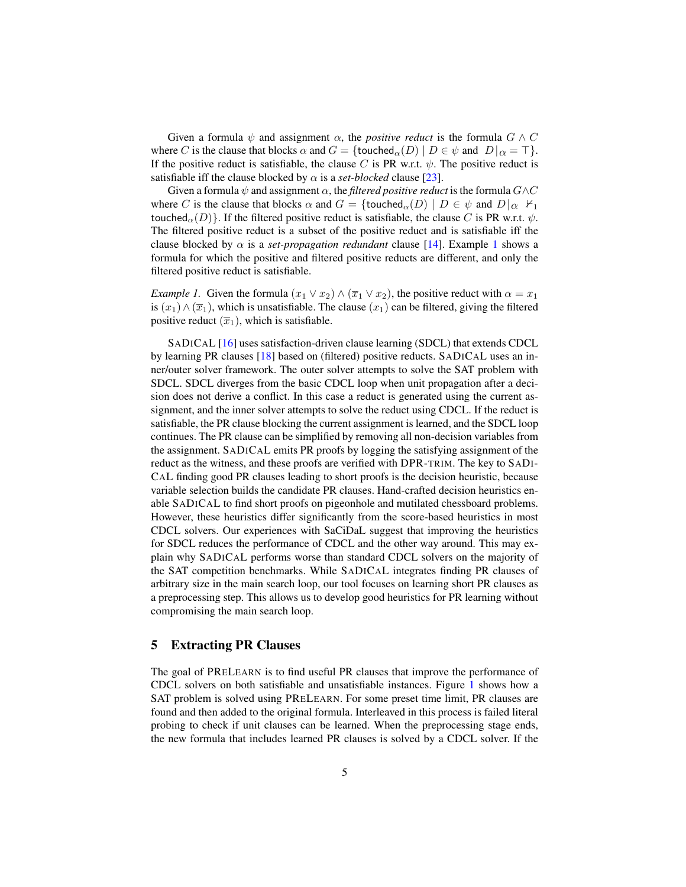Given a formula  $\psi$  and assignment  $\alpha$ , the *positive reduct* is the formula  $G \wedge C$ where C is the clause that blocks  $\alpha$  and  $G = \{\text{touched}_{\alpha}(D) \mid D \in \psi \text{ and } D | \alpha = \top\}.$ If the positive reduct is satisfiable, the clause C is PR w.r.t.  $\psi$ . The positive reduct is satisfiable iff the clause blocked by  $\alpha$  is a *set-blocked* clause [\[23\]](#page-18-7).

Given a formula  $\psi$  and assignment  $\alpha$ , the *filtered positive reduct* is the formula  $G \wedge C$ where C is the clause that blocks  $\alpha$  and  $G = \{\text{touched}_{\alpha}(D) \mid D \in \psi \text{ and } D|_{\alpha} \nvDash_{1}$ touched<sub> $\alpha$ </sub>(D)}. If the filtered positive reduct is satisfiable, the clause C is PR w.r.t.  $\psi$ . The filtered positive reduct is a subset of the positive reduct and is satisfiable iff the clause blocked by  $\alpha$  is a *set-propagation redundant* clause [\[14\]](#page-17-4). Example [1](#page-4-0) shows a formula for which the positive and filtered positive reducts are different, and only the filtered positive reduct is satisfiable.

<span id="page-4-0"></span>*Example 1.* Given the formula  $(x_1 \vee x_2) \wedge (\overline{x}_1 \vee x_2)$ , the positive reduct with  $\alpha = x_1$ is  $(x_1) \wedge (\overline{x}_1)$ , which is unsatisfiable. The clause  $(x_1)$  can be filtered, giving the filtered positive reduct  $(\overline{x}_1)$ , which is satisfiable.

SADICAL [\[16\]](#page-17-6) uses satisfaction-driven clause learning (SDCL) that extends CDCL by learning PR clauses [\[18\]](#page-17-15) based on (filtered) positive reducts. SADICAL uses an inner/outer solver framework. The outer solver attempts to solve the SAT problem with SDCL. SDCL diverges from the basic CDCL loop when unit propagation after a decision does not derive a conflict. In this case a reduct is generated using the current assignment, and the inner solver attempts to solve the reduct using CDCL. If the reduct is satisfiable, the PR clause blocking the current assignment is learned, and the SDCL loop continues. The PR clause can be simplified by removing all non-decision variables from the assignment. SADICAL emits PR proofs by logging the satisfying assignment of the reduct as the witness, and these proofs are verified with DPR-TRIM. The key to SADI-CAL finding good PR clauses leading to short proofs is the decision heuristic, because variable selection builds the candidate PR clauses. Hand-crafted decision heuristics enable SADICAL to find short proofs on pigeonhole and mutilated chessboard problems. However, these heuristics differ significantly from the score-based heuristics in most CDCL solvers. Our experiences with SaCiDaL suggest that improving the heuristics for SDCL reduces the performance of CDCL and the other way around. This may explain why SADICAL performs worse than standard CDCL solvers on the majority of the SAT competition benchmarks. While SADICAL integrates finding PR clauses of arbitrary size in the main search loop, our tool focuses on learning short PR clauses as a preprocessing step. This allows us to develop good heuristics for PR learning without compromising the main search loop.

### 5 Extracting PR Clauses

The goal of PRELEARN is to find useful PR clauses that improve the performance of CDCL solvers on both satisfiable and unsatisfiable instances. Figure [1](#page-5-0) shows how a SAT problem is solved using PRELEARN. For some preset time limit, PR clauses are found and then added to the original formula. Interleaved in this process is failed literal probing to check if unit clauses can be learned. When the preprocessing stage ends, the new formula that includes learned PR clauses is solved by a CDCL solver. If the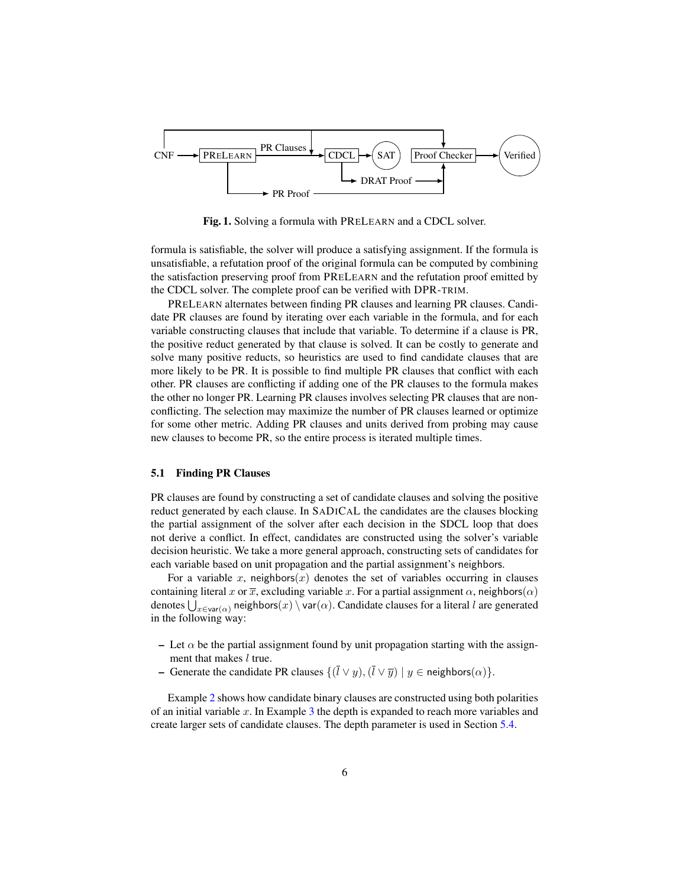

<span id="page-5-0"></span>Fig. 1. Solving a formula with PRELEARN and a CDCL solver.

formula is satisfiable, the solver will produce a satisfying assignment. If the formula is unsatisfiable, a refutation proof of the original formula can be computed by combining the satisfaction preserving proof from PRELEARN and the refutation proof emitted by the CDCL solver. The complete proof can be verified with DPR-TRIM.

PRELEARN alternates between finding PR clauses and learning PR clauses. Candidate PR clauses are found by iterating over each variable in the formula, and for each variable constructing clauses that include that variable. To determine if a clause is PR, the positive reduct generated by that clause is solved. It can be costly to generate and solve many positive reducts, so heuristics are used to find candidate clauses that are more likely to be PR. It is possible to find multiple PR clauses that conflict with each other. PR clauses are conflicting if adding one of the PR clauses to the formula makes the other no longer PR. Learning PR clauses involves selecting PR clauses that are nonconflicting. The selection may maximize the number of PR clauses learned or optimize for some other metric. Adding PR clauses and units derived from probing may cause new clauses to become PR, so the entire process is iterated multiple times.

### 5.1 Finding PR Clauses

PR clauses are found by constructing a set of candidate clauses and solving the positive reduct generated by each clause. In SADICAL the candidates are the clauses blocking the partial assignment of the solver after each decision in the SDCL loop that does not derive a conflict. In effect, candidates are constructed using the solver's variable decision heuristic. We take a more general approach, constructing sets of candidates for each variable based on unit propagation and the partial assignment's neighbors.

For a variable x, neighbors(x) denotes the set of variables occurring in clauses containing literal x or  $\overline{x}$ , excluding variable x. For a partial assignment  $\alpha$ , neighbors( $\alpha$ ) denotes  $\bigcup_{x\in {\sf var}(\alpha)}$  neighbors $(x)\setminus {\sf var}(\alpha).$  Candidate clauses for a literal  $l$  are generated in the following way:

- Let  $\alpha$  be the partial assignment found by unit propagation starting with the assignment that makes  $l$  true.
- Generate the candidate PR clauses  $\{(\bar{l} \lor y),(\bar{l} \lor \bar{y}) \mid y \in \text{neighbors}(\alpha)\}.$

<span id="page-5-1"></span>Example [2](#page-5-1) shows how candidate binary clauses are constructed using both polarities of an initial variable x. In Example  $3$  the depth is expanded to reach more variables and create larger sets of candidate clauses. The depth parameter is used in Section [5.4.](#page-7-0)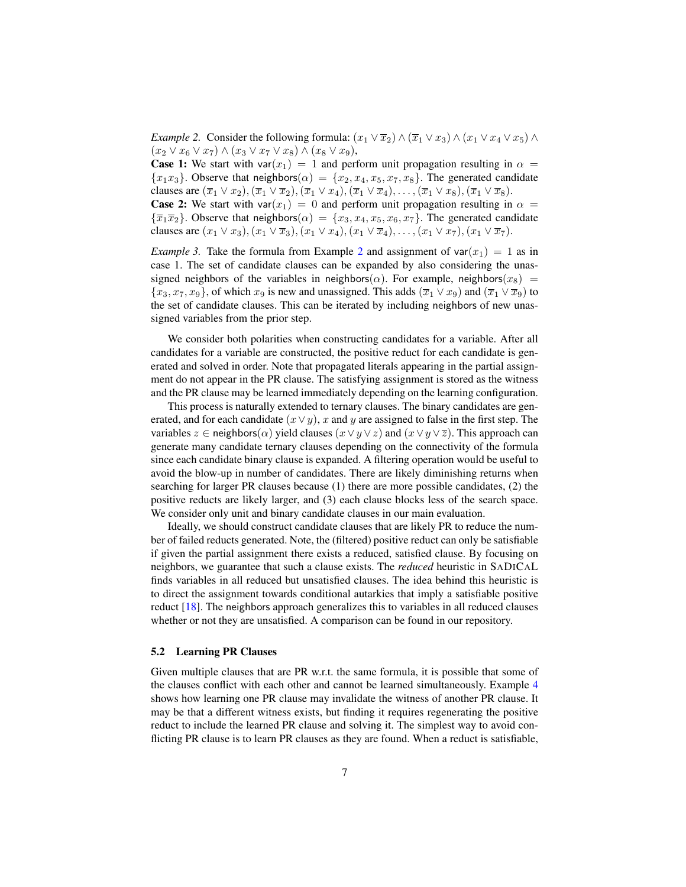*Example 2.* Consider the following formula:  $(x_1 \vee \overline{x}_2) \wedge (\overline{x}_1 \vee x_3) \wedge (x_1 \vee x_4 \vee x_5) \wedge$  $(x_2 \vee x_6 \vee x_7) \wedge (x_3 \vee x_7 \vee x_8) \wedge (x_8 \vee x_9),$ 

**Case 1:** We start with var $(x_1) = 1$  and perform unit propagation resulting in  $\alpha =$  ${x_1x_3}$ . Observe that neighbors $(\alpha) = {x_2, x_4, x_5, x_7, x_8}$ . The generated candidate clauses are  $(\overline{x}_1 \vee x_2), (\overline{x}_1 \vee \overline{x}_2), (\overline{x}_1 \vee x_4), (\overline{x}_1 \vee \overline{x}_4), \ldots, (\overline{x}_1 \vee x_8), (\overline{x}_1 \vee \overline{x}_8).$ 

**Case 2:** We start with var $(x_1) = 0$  and perform unit propagation resulting in  $\alpha =$  ${\overline{x_1x_2}}$ . Observe that neighbors $(\alpha) = {x_3, x_4, x_5, x_6, x_7}$ . The generated candidate clauses are  $(x_1 \vee x_3), (x_1 \vee \overline{x}_3), (x_1 \vee x_4), (x_1 \vee \overline{x}_4), \ldots, (x_1 \vee x_7), (x_1 \vee \overline{x}_7).$ 

<span id="page-6-0"></span>*Example 3.* Take the formula from Example [2](#page-5-1) and assignment of  $var(x_1) = 1$  as in case 1. The set of candidate clauses can be expanded by also considering the unassigned neighbors of the variables in neighbors( $\alpha$ ). For example, neighbors( $x_8$ ) =  ${x_3, x_7, x_9}$ , of which  $x_9$  is new and unassigned. This adds  $(\overline{x_1} \vee x_9)$  and  $(\overline{x_1} \vee \overline{x_9})$  to the set of candidate clauses. This can be iterated by including neighbors of new unassigned variables from the prior step.

We consider both polarities when constructing candidates for a variable. After all candidates for a variable are constructed, the positive reduct for each candidate is generated and solved in order. Note that propagated literals appearing in the partial assignment do not appear in the PR clause. The satisfying assignment is stored as the witness and the PR clause may be learned immediately depending on the learning configuration.

This process is naturally extended to ternary clauses. The binary candidates are generated, and for each candidate  $(x \vee y)$ , x and y are assigned to false in the first step. The variables  $z \in \text{neighbors}(\alpha)$  yield clauses  $(x \lor y \lor z)$  and  $(x \lor y \lor \overline{z})$ . This approach can generate many candidate ternary clauses depending on the connectivity of the formula since each candidate binary clause is expanded. A filtering operation would be useful to avoid the blow-up in number of candidates. There are likely diminishing returns when searching for larger PR clauses because (1) there are more possible candidates, (2) the positive reducts are likely larger, and (3) each clause blocks less of the search space. We consider only unit and binary candidate clauses in our main evaluation.

Ideally, we should construct candidate clauses that are likely PR to reduce the number of failed reducts generated. Note, the (filtered) positive reduct can only be satisfiable if given the partial assignment there exists a reduced, satisfied clause. By focusing on neighbors, we guarantee that such a clause exists. The *reduced* heuristic in SADICAL finds variables in all reduced but unsatisfied clauses. The idea behind this heuristic is to direct the assignment towards conditional autarkies that imply a satisfiable positive reduct [\[18\]](#page-17-15). The neighbors approach generalizes this to variables in all reduced clauses whether or not they are unsatisfied. A comparison can be found in our repository.

#### 5.2 Learning PR Clauses

Given multiple clauses that are PR w.r.t. the same formula, it is possible that some of the clauses conflict with each other and cannot be learned simultaneously. Example [4](#page-7-1) shows how learning one PR clause may invalidate the witness of another PR clause. It may be that a different witness exists, but finding it requires regenerating the positive reduct to include the learned PR clause and solving it. The simplest way to avoid conflicting PR clause is to learn PR clauses as they are found. When a reduct is satisfiable,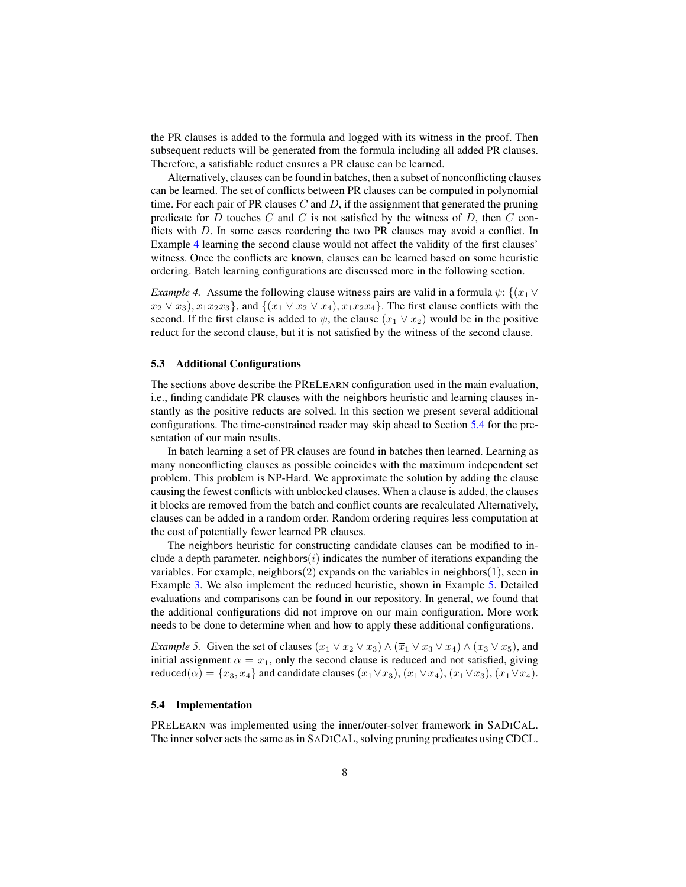the PR clauses is added to the formula and logged with its witness in the proof. Then subsequent reducts will be generated from the formula including all added PR clauses. Therefore, a satisfiable reduct ensures a PR clause can be learned.

Alternatively, clauses can be found in batches, then a subset of nonconflicting clauses can be learned. The set of conflicts between PR clauses can be computed in polynomial time. For each pair of PR clauses  $C$  and  $D$ , if the assignment that generated the pruning predicate for  $D$  touches  $C$  and  $C$  is not satisfied by the witness of  $D$ , then  $C$  conflicts with D. In some cases reordering the two PR clauses may avoid a conflict. In Example [4](#page-7-1) learning the second clause would not affect the validity of the first clauses' witness. Once the conflicts are known, clauses can be learned based on some heuristic ordering. Batch learning configurations are discussed more in the following section.

<span id="page-7-1"></span>*Example 4.* Assume the following clause witness pairs are valid in a formula  $\psi$ : {(x<sub>1</sub>  $\vee$  $x_2 \vee x_3$ ,  $x_1\overline{x_2}\overline{x_3}$ , and  $\{(x_1 \vee \overline{x_2} \vee x_4), \overline{x_1}\overline{x_2}x_4\}$ . The first clause conflicts with the second. If the first clause is added to  $\psi$ , the clause  $(x_1 \vee x_2)$  would be in the positive reduct for the second clause, but it is not satisfied by the witness of the second clause.

#### <span id="page-7-3"></span>5.3 Additional Configurations

The sections above describe the PRELEARN configuration used in the main evaluation, i.e., finding candidate PR clauses with the neighbors heuristic and learning clauses instantly as the positive reducts are solved. In this section we present several additional configurations. The time-constrained reader may skip ahead to Section [5.4](#page-7-0) for the presentation of our main results.

In batch learning a set of PR clauses are found in batches then learned. Learning as many nonconflicting clauses as possible coincides with the maximum independent set problem. This problem is NP-Hard. We approximate the solution by adding the clause causing the fewest conflicts with unblocked clauses. When a clause is added, the clauses it blocks are removed from the batch and conflict counts are recalculated Alternatively, clauses can be added in a random order. Random ordering requires less computation at the cost of potentially fewer learned PR clauses.

The neighbors heuristic for constructing candidate clauses can be modified to include a depth parameter. neighbors $(i)$  indicates the number of iterations expanding the variables. For example, neighbors $(2)$  expands on the variables in neighbors $(1)$ , seen in Example [3.](#page-6-0) We also implement the reduced heuristic, shown in Example [5.](#page-7-2) Detailed evaluations and comparisons can be found in our repository. In general, we found that the additional configurations did not improve on our main configuration. More work needs to be done to determine when and how to apply these additional configurations.

<span id="page-7-2"></span>*Example 5.* Given the set of clauses  $(x_1 \vee x_2 \vee x_3) \wedge (\overline{x}_1 \vee x_3 \vee x_4) \wedge (x_3 \vee x_5)$ , and initial assignment  $\alpha = x_1$ , only the second clause is reduced and not satisfied, giving reduced( $\alpha$ ) = { $x_3, x_4$ } and candidate clauses  $(\overline{x}_1 \vee x_3), (\overline{x}_1 \vee x_4), (\overline{x}_1 \vee \overline{x}_3), (\overline{x}_1 \vee \overline{x}_4)$ .

#### <span id="page-7-0"></span>5.4 Implementation

PRELEARN was implemented using the inner/outer-solver framework in SADICAL. The inner solver acts the same as in SADICAL, solving pruning predicates using CDCL.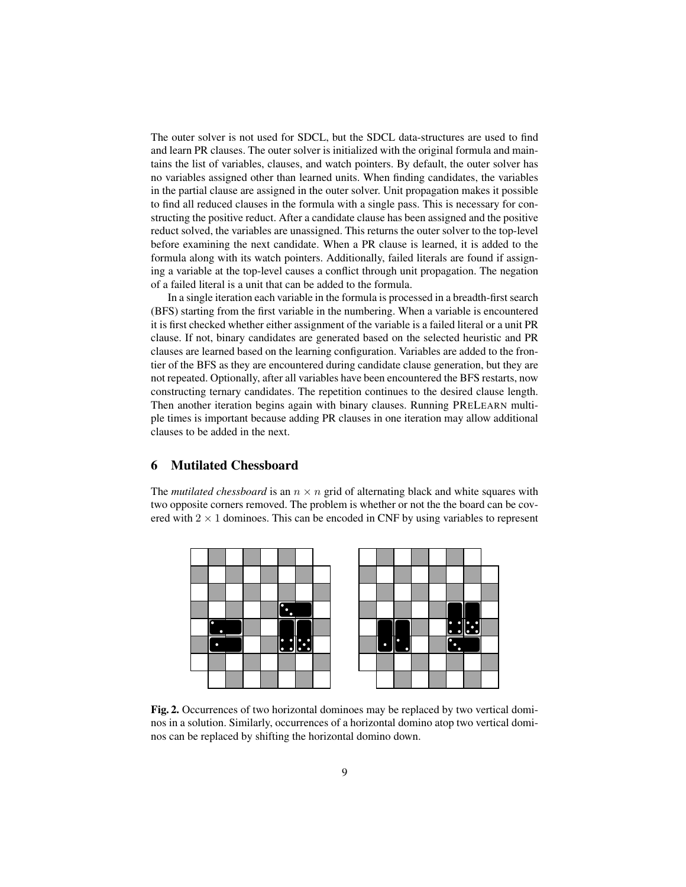The outer solver is not used for SDCL, but the SDCL data-structures are used to find and learn PR clauses. The outer solver is initialized with the original formula and maintains the list of variables, clauses, and watch pointers. By default, the outer solver has no variables assigned other than learned units. When finding candidates, the variables in the partial clause are assigned in the outer solver. Unit propagation makes it possible to find all reduced clauses in the formula with a single pass. This is necessary for constructing the positive reduct. After a candidate clause has been assigned and the positive reduct solved, the variables are unassigned. This returns the outer solver to the top-level before examining the next candidate. When a PR clause is learned, it is added to the formula along with its watch pointers. Additionally, failed literals are found if assigning a variable at the top-level causes a conflict through unit propagation. The negation of a failed literal is a unit that can be added to the formula.

In a single iteration each variable in the formula is processed in a breadth-first search (BFS) starting from the first variable in the numbering. When a variable is encountered it is first checked whether either assignment of the variable is a failed literal or a unit PR clause. If not, binary candidates are generated based on the selected heuristic and PR clauses are learned based on the learning configuration. Variables are added to the frontier of the BFS as they are encountered during candidate clause generation, but they are not repeated. Optionally, after all variables have been encountered the BFS restarts, now constructing ternary candidates. The repetition continues to the desired clause length. Then another iteration begins again with binary clauses. Running PRELEARN multiple times is important because adding PR clauses in one iteration may allow additional clauses to be added in the next.

### 6 Mutilated Chessboard

The *mutilated chessboard* is an  $n \times n$  grid of alternating black and white squares with two opposite corners removed. The problem is whether or not the the board can be covered with  $2 \times 1$  dominoes. This can be encoded in CNF by using variables to represent



<span id="page-8-0"></span>Fig. 2. Occurrences of two horizontal dominoes may be replaced by two vertical dominos in a solution. Similarly, occurrences of a horizontal domino atop two vertical dominos can be replaced by shifting the horizontal domino down.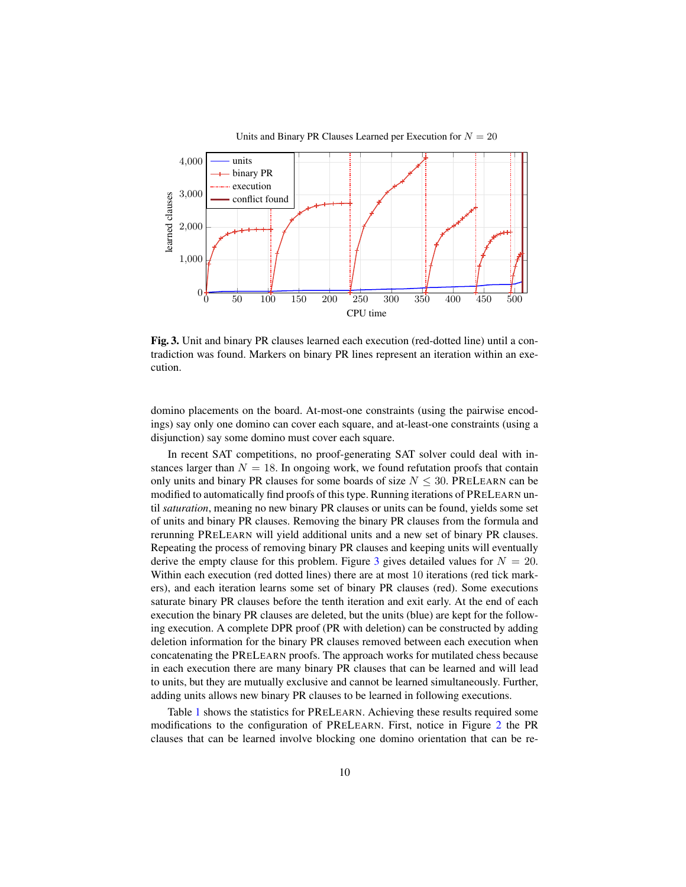

Units and Binary PR Clauses Learned per Execution for  $N = 20$ 

<span id="page-9-0"></span>Fig. 3. Unit and binary PR clauses learned each execution (red-dotted line) until a contradiction was found. Markers on binary PR lines represent an iteration within an execution.

domino placements on the board. At-most-one constraints (using the pairwise encodings) say only one domino can cover each square, and at-least-one constraints (using a disjunction) say some domino must cover each square.

In recent SAT competitions, no proof-generating SAT solver could deal with instances larger than  $N = 18$ . In ongoing work, we found refutation proofs that contain only units and binary PR clauses for some boards of size  $N \leq 30$ . PRELEARN can be modified to automatically find proofs of this type. Running iterations of PRELEARN until *saturation*, meaning no new binary PR clauses or units can be found, yields some set of units and binary PR clauses. Removing the binary PR clauses from the formula and rerunning PRELEARN will yield additional units and a new set of binary PR clauses. Repeating the process of removing binary PR clauses and keeping units will eventually derive the empty clause for this problem. Figure [3](#page-9-0) gives detailed values for  $N = 20$ . Within each execution (red dotted lines) there are at most 10 iterations (red tick markers), and each iteration learns some set of binary PR clauses (red). Some executions saturate binary PR clauses before the tenth iteration and exit early. At the end of each execution the binary PR clauses are deleted, but the units (blue) are kept for the following execution. A complete DPR proof (PR with deletion) can be constructed by adding deletion information for the binary PR clauses removed between each execution when concatenating the PRELEARN proofs. The approach works for mutilated chess because in each execution there are many binary PR clauses that can be learned and will lead to units, but they are mutually exclusive and cannot be learned simultaneously. Further, adding units allows new binary PR clauses to be learned in following executions.

Table [1](#page-10-0) shows the statistics for PRELEARN. Achieving these results required some modifications to the configuration of PRELEARN. First, notice in Figure [2](#page-8-0) the PR clauses that can be learned involve blocking one domino orientation that can be re-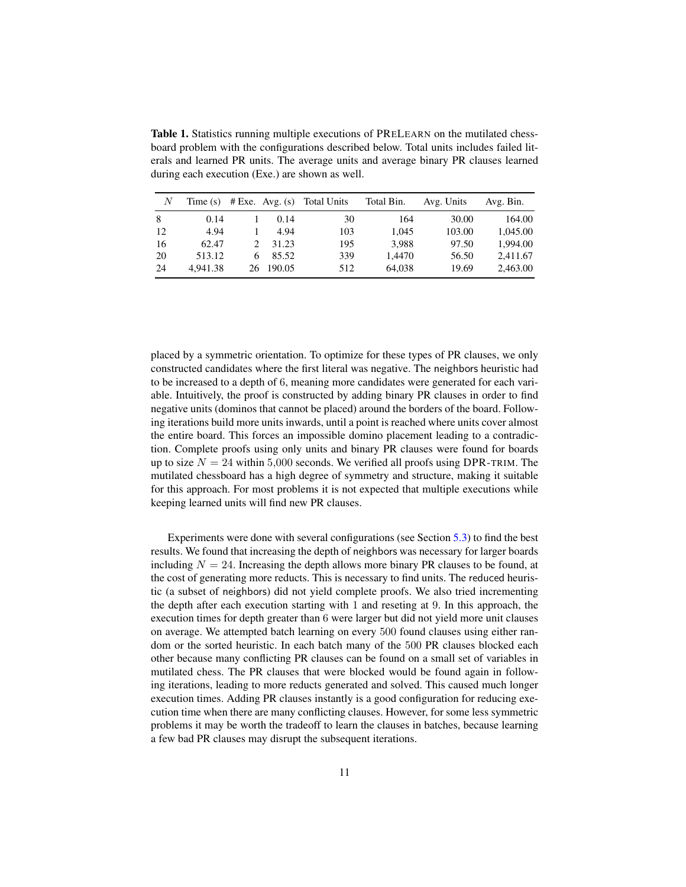<span id="page-10-0"></span>Table 1. Statistics running multiple executions of PRELEARN on the mutilated chessboard problem with the configurations described below. Total units includes failed literals and learned PR units. The average units and average binary PR clauses learned during each execution (Exe.) are shown as well.

| $_{N}$ | Time(s)  |     | $#$ Exe. Avg. $(s)$ | Total Units | Total Bin. | Avg. Units | Avg. Bin. |
|--------|----------|-----|---------------------|-------------|------------|------------|-----------|
| 8      | 0.14     |     | 0.14                | 30          | 164        | 30.00      | 164.00    |
| 12     | 4.94     |     | 4.94                | 103         | 1.045      | 103.00     | 1,045.00  |
| 16     | 62.47    |     | 31.23               | 195         | 3.988      | 97.50      | 1,994.00  |
| 20     | 513.12   |     | 85.52               | 339         | 1,4470     | 56.50      | 2,411.67  |
| 24     | 4.941.38 | 26. | 190.05              | 512         | 64,038     | 19.69      | 2,463.00  |

placed by a symmetric orientation. To optimize for these types of PR clauses, we only constructed candidates where the first literal was negative. The neighbors heuristic had to be increased to a depth of 6, meaning more candidates were generated for each variable. Intuitively, the proof is constructed by adding binary PR clauses in order to find negative units (dominos that cannot be placed) around the borders of the board. Following iterations build more units inwards, until a point is reached where units cover almost the entire board. This forces an impossible domino placement leading to a contradiction. Complete proofs using only units and binary PR clauses were found for boards up to size  $N = 24$  within 5,000 seconds. We verified all proofs using DPR-TRIM. The mutilated chessboard has a high degree of symmetry and structure, making it suitable for this approach. For most problems it is not expected that multiple executions while keeping learned units will find new PR clauses.

Experiments were done with several configurations (see Section [5.3\)](#page-7-3) to find the best results. We found that increasing the depth of neighbors was necessary for larger boards including  $N = 24$ . Increasing the depth allows more binary PR clauses to be found, at the cost of generating more reducts. This is necessary to find units. The reduced heuristic (a subset of neighbors) did not yield complete proofs. We also tried incrementing the depth after each execution starting with 1 and reseting at 9. In this approach, the execution times for depth greater than 6 were larger but did not yield more unit clauses on average. We attempted batch learning on every 500 found clauses using either random or the sorted heuristic. In each batch many of the 500 PR clauses blocked each other because many conflicting PR clauses can be found on a small set of variables in mutilated chess. The PR clauses that were blocked would be found again in following iterations, leading to more reducts generated and solved. This caused much longer execution times. Adding PR clauses instantly is a good configuration for reducing execution time when there are many conflicting clauses. However, for some less symmetric problems it may be worth the tradeoff to learn the clauses in batches, because learning a few bad PR clauses may disrupt the subsequent iterations.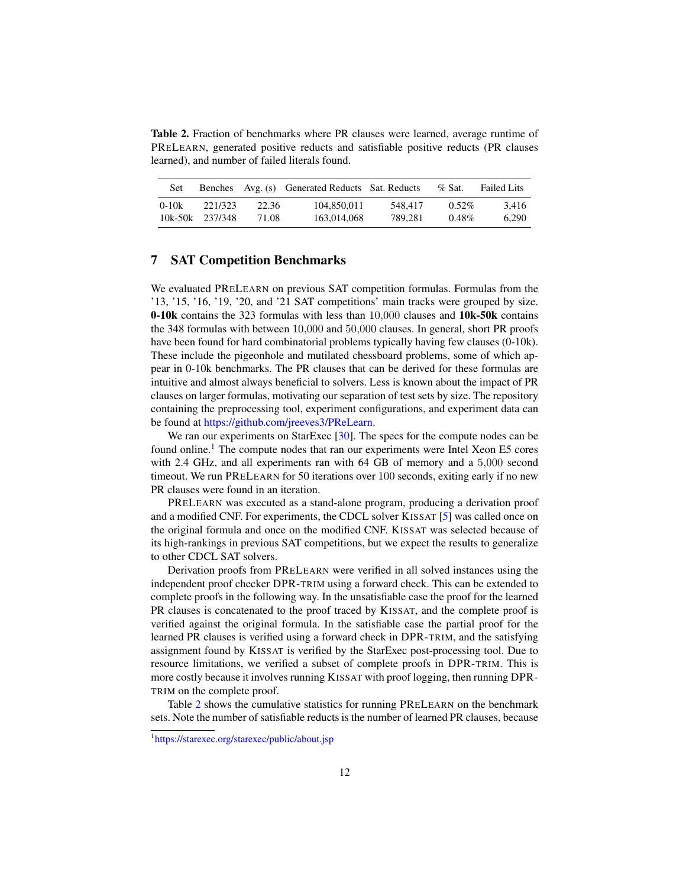<span id="page-11-1"></span>Table 2. Fraction of benchmarks where PR clauses were learned, average runtime of PRELEARN, generated positive reducts and satisfiable positive reducts (PR clauses learned), and number of failed literals found.

| Set     |                 |       | Benches Avg. (s) Generated Reducts Sat. Reducts |         | $\%$ Sat. | <b>Failed Lits</b> |
|---------|-----------------|-------|-------------------------------------------------|---------|-----------|--------------------|
| $0-10k$ | 221/323         | 22.36 | 104.850.011                                     | 548.417 | $0.52\%$  | 3.416              |
|         | 10k-50k 237/348 | 71.08 | 163,014,068                                     | 789.281 | $0.48\%$  | 6.290              |

### 7 SAT Competition Benchmarks

We evaluated PRELEARN on previous SAT competition formulas. Formulas from the '13, '15, '16, '19, '20, and '21 SAT competitions' main tracks were grouped by size. 0-10k contains the 323 formulas with less than 10,000 clauses and 10k-50k contains the 348 formulas with between 10,000 and 50,000 clauses. In general, short PR proofs have been found for hard combinatorial problems typically having few clauses (0-10k). These include the pigeonhole and mutilated chessboard problems, some of which appear in 0-10k benchmarks. The PR clauses that can be derived for these formulas are intuitive and almost always beneficial to solvers. Less is known about the impact of PR clauses on larger formulas, motivating our separation of test sets by size. The repository containing the preprocessing tool, experiment configurations, and experiment data can be found at [https://github.com/jreeves3/PReLearn.](https://github.com/jreeves3/PReLearn)

We ran our experiments on StarExec [\[30\]](#page-18-8). The specs for the compute nodes can be found online.<sup>[1](#page-11-0)</sup> The compute nodes that ran our experiments were Intel Xeon E5 cores with 2.4 GHz, and all experiments ran with 64 GB of memory and a 5,000 second timeout. We run PRELEARN for 50 iterations over 100 seconds, exiting early if no new PR clauses were found in an iteration.

PRELEARN was executed as a stand-alone program, producing a derivation proof and a modified CNF. For experiments, the CDCL solver KISSAT [\[5\]](#page-17-16) was called once on the original formula and once on the modified CNF. KISSAT was selected because of its high-rankings in previous SAT competitions, but we expect the results to generalize to other CDCL SAT solvers.

Derivation proofs from PRELEARN were verified in all solved instances using the independent proof checker DPR-TRIM using a forward check. This can be extended to complete proofs in the following way. In the unsatisfiable case the proof for the learned PR clauses is concatenated to the proof traced by KISSAT, and the complete proof is verified against the original formula. In the satisfiable case the partial proof for the learned PR clauses is verified using a forward check in DPR-TRIM, and the satisfying assignment found by KISSAT is verified by the StarExec post-processing tool. Due to resource limitations, we verified a subset of complete proofs in DPR-TRIM. This is more costly because it involves running KISSAT with proof logging, then running DPR-TRIM on the complete proof.

Table [2](#page-11-1) shows the cumulative statistics for running PRELEARN on the benchmark sets. Note the number of satisfiable reducts is the number of learned PR clauses, because

<span id="page-11-0"></span><sup>1</sup> <https://starexec.org/starexec/public/about.jsp>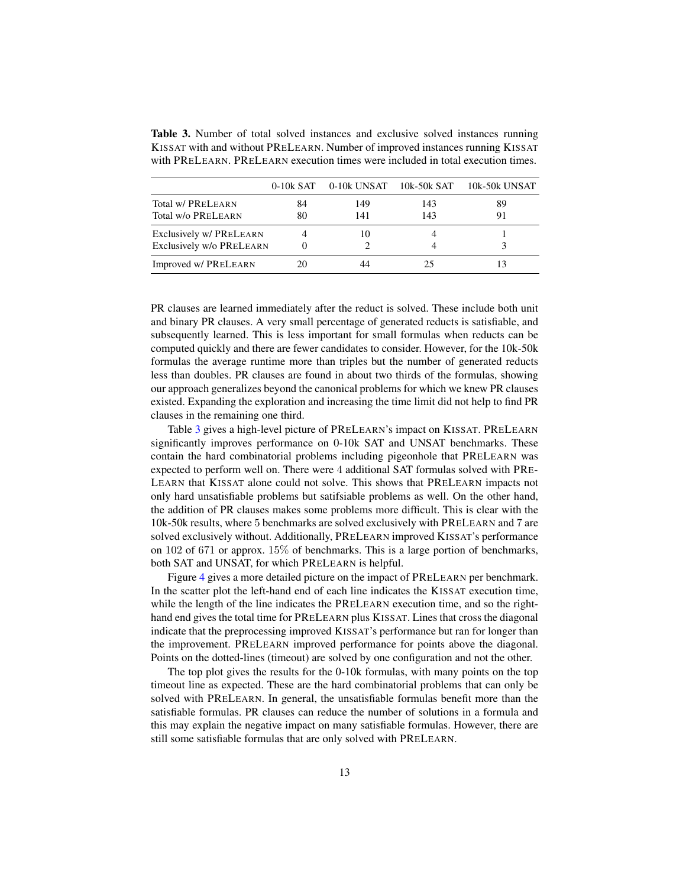|                          | $0-10k$ SAT | 0-10k UNSAT | 10k-50k SAT | 10k-50k UNSAT |
|--------------------------|-------------|-------------|-------------|---------------|
| Total w/ PRELEARN        | 84          | 149         | 143         | 89            |
| Total w/o PRELEARN       | 80          | 141         | 143         | 91            |
| Exclusively w/ PRELEARN  |             | 10          |             |               |
| Exclusively w/o PRELEARN |             |             |             |               |
| Improved w/ PRELEARN     |             |             |             |               |

<span id="page-12-0"></span>Table 3. Number of total solved instances and exclusive solved instances running KISSAT with and without PRELEARN. Number of improved instances running KISSAT with PRELEARN. PRELEARN execution times were included in total execution times.

PR clauses are learned immediately after the reduct is solved. These include both unit and binary PR clauses. A very small percentage of generated reducts is satisfiable, and subsequently learned. This is less important for small formulas when reducts can be computed quickly and there are fewer candidates to consider. However, for the 10k-50k formulas the average runtime more than triples but the number of generated reducts less than doubles. PR clauses are found in about two thirds of the formulas, showing our approach generalizes beyond the canonical problems for which we knew PR clauses existed. Expanding the exploration and increasing the time limit did not help to find PR clauses in the remaining one third.

Table [3](#page-12-0) gives a high-level picture of PRELEARN's impact on KISSAT. PRELEARN significantly improves performance on 0-10k SAT and UNSAT benchmarks. These contain the hard combinatorial problems including pigeonhole that PRELEARN was expected to perform well on. There were 4 additional SAT formulas solved with PRE-LEARN that KISSAT alone could not solve. This shows that PRELEARN impacts not only hard unsatisfiable problems but satifsiable problems as well. On the other hand, the addition of PR clauses makes some problems more difficult. This is clear with the 10k-50k results, where 5 benchmarks are solved exclusively with PRELEARN and 7 are solved exclusively without. Additionally, PRELEARN improved KISSAT's performance on 102 of 671 or approx. 15% of benchmarks. This is a large portion of benchmarks, both SAT and UNSAT, for which PRELEARN is helpful.

Figure [4](#page-13-0) gives a more detailed picture on the impact of PRELEARN per benchmark. In the scatter plot the left-hand end of each line indicates the KISSAT execution time, while the length of the line indicates the PRELEARN execution time, and so the righthand end gives the total time for PRELEARN plus KISSAT. Lines that cross the diagonal indicate that the preprocessing improved KISSAT's performance but ran for longer than the improvement. PRELEARN improved performance for points above the diagonal. Points on the dotted-lines (timeout) are solved by one configuration and not the other.

The top plot gives the results for the 0-10k formulas, with many points on the top timeout line as expected. These are the hard combinatorial problems that can only be solved with PRELEARN. In general, the unsatisfiable formulas benefit more than the satisfiable formulas. PR clauses can reduce the number of solutions in a formula and this may explain the negative impact on many satisfiable formulas. However, there are still some satisfiable formulas that are only solved with PRELEARN.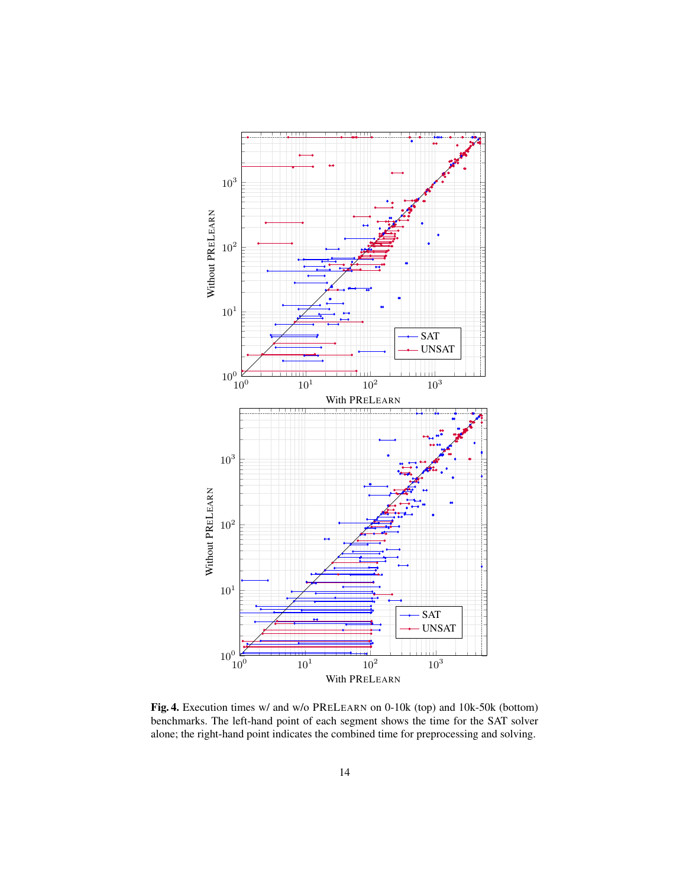

<span id="page-13-0"></span>Fig. 4. Execution times w/ and w/o PRELEARN on 0-10k (top) and 10k-50k (bottom) benchmarks. The left-hand point of each segment shows the time for the SAT solver alone; the right-hand point indicates the combined time for preprocessing and solving.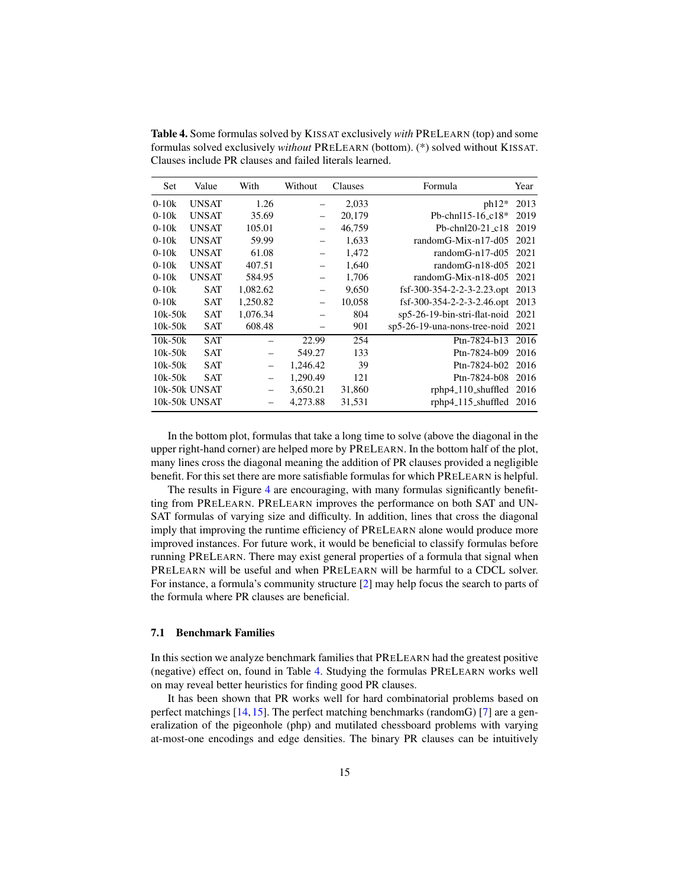| Set       | Value         | With     | Without  | Clauses | Formula                      | Year |
|-----------|---------------|----------|----------|---------|------------------------------|------|
| $0-10k$   | <b>UNSAT</b>  | 1.26     |          | 2,033   | $ph12*$                      | 2013 |
| $0-10k$   | <b>UNSAT</b>  | 35.69    |          | 20,179  | Pb-chn $115-16-c18*$         | 2019 |
| $0-10k$   | <b>UNSAT</b>  | 105.01   |          | 46,759  | $Pb$ -chn $120-21-c18$       | 2019 |
| $0-10k$   | <b>UNSAT</b>  | 59.99    |          | 1,633   | randomG-Mix-n17-d05          | 2021 |
| $0-10k$   | <b>UNSAT</b>  | 61.08    |          | 1,472   | randomG-n17-d05              | 2021 |
| $0-10k$   | <b>UNSAT</b>  | 407.51   |          | 1,640   | randomG-n18-d05              | 2021 |
| $0-10k$   | <b>UNSAT</b>  | 584.95   |          | 1,706   | randomG-Mix-n18-d05          | 2021 |
| $0-10k$   | <b>SAT</b>    | 1,082.62 |          | 9,650   | fsf-300-354-2-2-3-2.23.opt   | 2013 |
| $0-10k$   | <b>SAT</b>    | 1,250.82 |          | 10,058  | fsf-300-354-2-2-3-2.46.opt   | 2013 |
| $10k-50k$ | SAT           | 1,076.34 |          | 804     | sp5-26-19-bin-stri-flat-noid | 2021 |
| 10k-50k   | SAT           | 608.48   |          | 901     | sp5-26-19-una-nons-tree-noid | 2021 |
| $10k-50k$ | <b>SAT</b>    |          | 22.99    | 254     | Ptn-7824-b13                 | 2016 |
| $10k-50k$ | <b>SAT</b>    |          | 549.27   | 133     | Ptn-7824-b09                 | 2016 |
| $10k-50k$ | SAT           |          | 1,246.42 | 39      | Ptn-7824-b02                 | 2016 |
| $10k-50k$ | <b>SAT</b>    | —        | 1,290.49 | 121     | Ptn-7824-b08                 | 2016 |
|           | 10k-50k UNSAT |          | 3,650.21 | 31,860  | $rphp4_110$ _shuffled        | 2016 |
|           | 10k-50k UNSAT |          | 4,273.88 | 31,531  | $rphp4_115$ _shuffled        | 2016 |

<span id="page-14-0"></span>Table 4. Some formulas solved by KISSAT exclusively *with* PRELEARN (top) and some formulas solved exclusively *without* PRELEARN (bottom). (\*) solved without KISSAT. Clauses include PR clauses and failed literals learned.

In the bottom plot, formulas that take a long time to solve (above the diagonal in the upper right-hand corner) are helped more by PRELEARN. In the bottom half of the plot, many lines cross the diagonal meaning the addition of PR clauses provided a negligible benefit. For this set there are more satisfiable formulas for which PRELEARN is helpful.

The results in Figure [4](#page-13-0) are encouraging, with many formulas significantly benefitting from PRELEARN. PRELEARN improves the performance on both SAT and UN-SAT formulas of varying size and difficulty. In addition, lines that cross the diagonal imply that improving the runtime efficiency of PRELEARN alone would produce more improved instances. For future work, it would be beneficial to classify formulas before running PRELEARN. There may exist general properties of a formula that signal when PRELEARN will be useful and when PRELEARN will be harmful to a CDCL solver. For instance, a formula's community structure [\[2\]](#page-17-17) may help focus the search to parts of the formula where PR clauses are beneficial.

#### 7.1 Benchmark Families

In this section we analyze benchmark families that PRELEARN had the greatest positive (negative) effect on, found in Table [4.](#page-14-0) Studying the formulas PRELEARN works well on may reveal better heuristics for finding good PR clauses.

It has been shown that PR works well for hard combinatorial problems based on perfect matchings [\[14,](#page-17-4)[15\]](#page-17-5). The perfect matching benchmarks (randomG) [\[7\]](#page-17-7) are a generalization of the pigeonhole (php) and mutilated chessboard problems with varying at-most-one encodings and edge densities. The binary PR clauses can be intuitively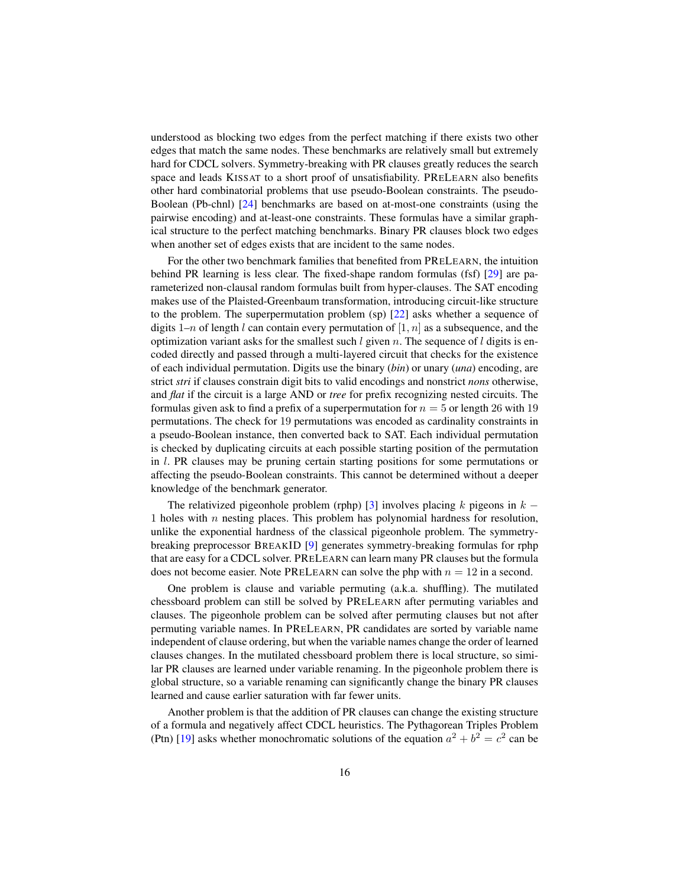understood as blocking two edges from the perfect matching if there exists two other edges that match the same nodes. These benchmarks are relatively small but extremely hard for CDCL solvers. Symmetry-breaking with PR clauses greatly reduces the search space and leads KISSAT to a short proof of unsatisfiability. PRELEARN also benefits other hard combinatorial problems that use pseudo-Boolean constraints. The pseudo-Boolean (Pb-chnl) [\[24\]](#page-18-9) benchmarks are based on at-most-one constraints (using the pairwise encoding) and at-least-one constraints. These formulas have a similar graphical structure to the perfect matching benchmarks. Binary PR clauses block two edges when another set of edges exists that are incident to the same nodes.

For the other two benchmark families that benefited from PRELEARN, the intuition behind PR learning is less clear. The fixed-shape random formulas (fsf) [\[29\]](#page-18-10) are parameterized non-clausal random formulas built from hyper-clauses. The SAT encoding makes use of the Plaisted-Greenbaum transformation, introducing circuit-like structure to the problem. The superpermutation problem (sp) [\[22\]](#page-18-11) asks whether a sequence of digits 1–n of length l can contain every permutation of [1, n] as a subsequence, and the optimization variant asks for the smallest such  $l$  given n. The sequence of  $l$  digits is encoded directly and passed through a multi-layered circuit that checks for the existence of each individual permutation. Digits use the binary (*bin*) or unary (*una*) encoding, are strict *stri* if clauses constrain digit bits to valid encodings and nonstrict *nons* otherwise, and *flat* if the circuit is a large AND or *tree* for prefix recognizing nested circuits. The formulas given ask to find a prefix of a superpermutation for  $n = 5$  or length 26 with 19 permutations. The check for 19 permutations was encoded as cardinality constraints in a pseudo-Boolean instance, then converted back to SAT. Each individual permutation is checked by duplicating circuits at each possible starting position of the permutation in l. PR clauses may be pruning certain starting positions for some permutations or affecting the pseudo-Boolean constraints. This cannot be determined without a deeper knowledge of the benchmark generator.

The relativized pigeonhole problem (rphp) [\[3\]](#page-17-18) involves placing k pigeons in  $k -$ 1 holes with  $n$  nesting places. This problem has polynomial hardness for resolution, unlike the exponential hardness of the classical pigeonhole problem. The symmetrybreaking preprocessor BREAKID [\[9\]](#page-17-19) generates symmetry-breaking formulas for rphp that are easy for a CDCL solver. PRELEARN can learn many PR clauses but the formula does not become easier. Note PRELEARN can solve the php with  $n = 12$  in a second.

One problem is clause and variable permuting (a.k.a. shuffling). The mutilated chessboard problem can still be solved by PRELEARN after permuting variables and clauses. The pigeonhole problem can be solved after permuting clauses but not after permuting variable names. In PRELEARN, PR candidates are sorted by variable name independent of clause ordering, but when the variable names change the order of learned clauses changes. In the mutilated chessboard problem there is local structure, so similar PR clauses are learned under variable renaming. In the pigeonhole problem there is global structure, so a variable renaming can significantly change the binary PR clauses learned and cause earlier saturation with far fewer units.

Another problem is that the addition of PR clauses can change the existing structure of a formula and negatively affect CDCL heuristics. The Pythagorean Triples Problem (Ptn) [\[19\]](#page-17-20) asks whether monochromatic solutions of the equation  $a^2 + b^2 = c^2$  can be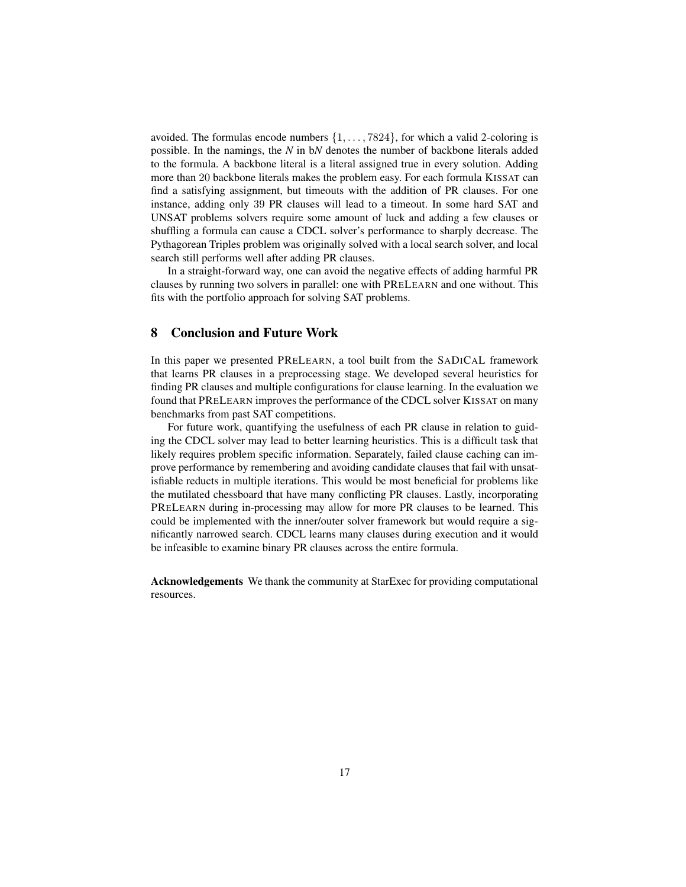avoided. The formulas encode numbers  $\{1, \ldots, 7824\}$ , for which a valid 2-coloring is possible. In the namings, the *N* in b*N* denotes the number of backbone literals added to the formula. A backbone literal is a literal assigned true in every solution. Adding more than 20 backbone literals makes the problem easy. For each formula KISSAT can find a satisfying assignment, but timeouts with the addition of PR clauses. For one instance, adding only 39 PR clauses will lead to a timeout. In some hard SAT and UNSAT problems solvers require some amount of luck and adding a few clauses or shuffling a formula can cause a CDCL solver's performance to sharply decrease. The Pythagorean Triples problem was originally solved with a local search solver, and local search still performs well after adding PR clauses.

In a straight-forward way, one can avoid the negative effects of adding harmful PR clauses by running two solvers in parallel: one with PRELEARN and one without. This fits with the portfolio approach for solving SAT problems.

### 8 Conclusion and Future Work

In this paper we presented PRELEARN, a tool built from the SADICAL framework that learns PR clauses in a preprocessing stage. We developed several heuristics for finding PR clauses and multiple configurations for clause learning. In the evaluation we found that PRELEARN improves the performance of the CDCL solver KISSAT on many benchmarks from past SAT competitions.

For future work, quantifying the usefulness of each PR clause in relation to guiding the CDCL solver may lead to better learning heuristics. This is a difficult task that likely requires problem specific information. Separately, failed clause caching can improve performance by remembering and avoiding candidate clauses that fail with unsatisfiable reducts in multiple iterations. This would be most beneficial for problems like the mutilated chessboard that have many conflicting PR clauses. Lastly, incorporating PRELEARN during in-processing may allow for more PR clauses to be learned. This could be implemented with the inner/outer solver framework but would require a significantly narrowed search. CDCL learns many clauses during execution and it would be infeasible to examine binary PR clauses across the entire formula.

Acknowledgements We thank the community at StarExec for providing computational resources.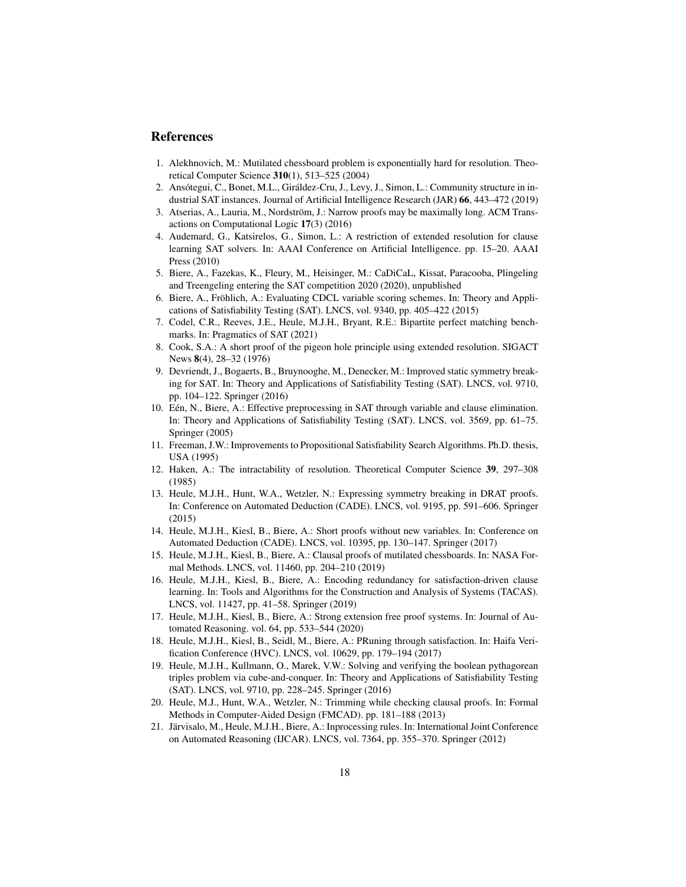### References

- <span id="page-17-1"></span>1. Alekhnovich, M.: Mutilated chessboard problem is exponentially hard for resolution. Theoretical Computer Science 310(1), 513–525 (2004)
- <span id="page-17-17"></span>2. Ansótegui, C., Bonet, M.L., Giráldez-Cru, J., Levy, J., Simon, L.: Community structure in industrial SAT instances. Journal of Artificial Intelligence Research (JAR) 66, 443–472 (2019)
- <span id="page-17-18"></span>3. Atserias, A., Lauria, M., Nordström, J.: Narrow proofs may be maximally long. ACM Transactions on Computational Logic 17(3) (2016)
- <span id="page-17-12"></span>4. Audemard, G., Katsirelos, G., Simon, L.: A restriction of extended resolution for clause learning SAT solvers. In: AAAI Conference on Artificial Intelligence. pp. 15–20. AAAI Press (2010)
- <span id="page-17-16"></span>5. Biere, A., Fazekas, K., Fleury, M., Heisinger, M.: CaDiCaL, Kissat, Paracooba, Plingeling and Treengeling entering the SAT competition 2020 (2020), unpublished
- <span id="page-17-14"></span>6. Biere, A., Fröhlich, A.: Evaluating CDCL variable scoring schemes. In: Theory and Applications of Satisfiability Testing (SAT). LNCS, vol. 9340, pp. 405–422 (2015)
- <span id="page-17-7"></span>7. Codel, C.R., Reeves, J.E., Heule, M.J.H., Bryant, R.E.: Bipartite perfect matching benchmarks. In: Pragmatics of SAT (2021)
- <span id="page-17-3"></span>8. Cook, S.A.: A short proof of the pigeon hole principle using extended resolution. SIGACT News 8(4), 28–32 (1976)
- <span id="page-17-19"></span>9. Devriendt, J., Bogaerts, B., Bruynooghe, M., Denecker, M.: Improved static symmetry breaking for SAT. In: Theory and Applications of Satisfiability Testing (SAT). LNCS, vol. 9710, pp. 104–122. Springer (2016)
- <span id="page-17-11"></span>10. Een, N., Biere, A.: Effective preprocessing in SAT through variable and clause elimination. ´ In: Theory and Applications of Satisfiability Testing (SAT). LNCS, vol. 3569, pp. 61–75. Springer (2005)
- <span id="page-17-8"></span>11. Freeman, J.W.: Improvements to Propositional Satisfiability Search Algorithms. Ph.D. thesis, USA (1995)
- <span id="page-17-2"></span>12. Haken, A.: The intractability of resolution. Theoretical Computer Science 39, 297–308 (1985)
- <span id="page-17-13"></span>13. Heule, M.J.H., Hunt, W.A., Wetzler, N.: Expressing symmetry breaking in DRAT proofs. In: Conference on Automated Deduction (CADE). LNCS, vol. 9195, pp. 591–606. Springer (2015)
- <span id="page-17-4"></span>14. Heule, M.J.H., Kiesl, B., Biere, A.: Short proofs without new variables. In: Conference on Automated Deduction (CADE). LNCS, vol. 10395, pp. 130–147. Springer (2017)
- <span id="page-17-5"></span>15. Heule, M.J.H., Kiesl, B., Biere, A.: Clausal proofs of mutilated chessboards. In: NASA Formal Methods. LNCS, vol. 11460, pp. 204–210 (2019)
- <span id="page-17-6"></span>16. Heule, M.J.H., Kiesl, B., Biere, A.: Encoding redundancy for satisfaction-driven clause learning. In: Tools and Algorithms for the Construction and Analysis of Systems (TACAS). LNCS, vol. 11427, pp. 41–58. Springer (2019)
- <span id="page-17-9"></span>17. Heule, M.J.H., Kiesl, B., Biere, A.: Strong extension free proof systems. In: Journal of Automated Reasoning. vol. 64, pp. 533–544 (2020)
- <span id="page-17-15"></span>18. Heule, M.J.H., Kiesl, B., Seidl, M., Biere, A.: PRuning through satisfaction. In: Haifa Verification Conference (HVC). LNCS, vol. 10629, pp. 179–194 (2017)
- <span id="page-17-20"></span>19. Heule, M.J.H., Kullmann, O., Marek, V.W.: Solving and verifying the boolean pythagorean triples problem via cube-and-conquer. In: Theory and Applications of Satisfiability Testing (SAT). LNCS, vol. 9710, pp. 228–245. Springer (2016)
- <span id="page-17-10"></span>20. Heule, M.J., Hunt, W.A., Wetzler, N.: Trimming while checking clausal proofs. In: Formal Methods in Computer-Aided Design (FMCAD). pp. 181–188 (2013)
- <span id="page-17-0"></span>21. Jarvisalo, M., Heule, M.J.H., Biere, A.: Inprocessing rules. In: International Joint Conference ¨ on Automated Reasoning (IJCAR). LNCS, vol. 7364, pp. 355–370. Springer (2012)